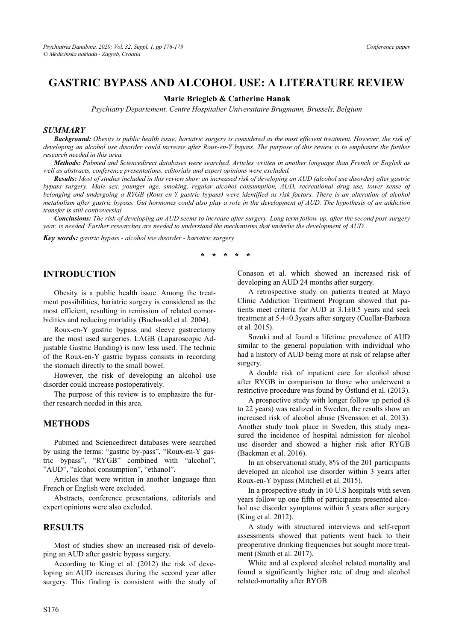## **GASTRIC BYPASS AND ALCOHOL USE: A LITERATURE REVIEW GASTRIC BYPASS AND ALCOHOL USE: A LITERATURE REVIEW AND ALCOHOL USE:** A LITERATURE REVIEW  $\frac{1}{2}$

**Marie Briegleb & Catherine Hanak**  *Psychiatry Departement, Centre Hospitalier Universitaire Brugmann, Brussels, Belgium* 

### *SUMMARY*

*Background: Obesity is public health issue; bariatric surgery is considered as the most efficient treatment. However, the risk of developing an alcohol use disorder could increase after Roux-en-Y bypass. The purpose of this review is to emphasize the further research needed in this area.* 

*Methods: Pubmed and Sciencedirect databases were searched. Articles written in another language than French or English as well as abstracts, conference presentations, editorials and expert opinions were excluded.* 

*Results: Most of studies included in this review show an increased risk of developing an AUD (alcohol use disorder) after gastric bypass surgery. Male sex, younger age, smoking, regular alcohol consumption, AUD, recreational drug use, lower sense of belonging and undergoing a RYGB (Roux-en-Y gastric bypass) were identified as risk factors. There is an alteration of alcohol metabolism after gastric bypass. Gut hormones could also play a role in the development of AUD. The hypothesis of an addiction transfer is still controversial.* 

*Conclusions: The risk of developing an AUD seems to increase after surgery. Long term follow-up, after the second post-surgery year, is needed. Further researches are needed to understand the mechanisms that underlie the development of AUD.* 

*Key words: gastric bypass - alcohol use disorder - bariatric surgery* 

\* \* \* \*

# **INTRODUCTION**

Obesity is a public health issue. Among the treatment possibilities, bariatric surgery is considered as the most efficient, resulting in remission of related comorbidities and reducing mortality (Buchwald et al. 2004).

Roux-en-Y gastric bypass and sleeve gastrectomy are the most used surgeries. LAGB (Laparoscopic Adjustable Gastric Banding) is now less used. The technic of the Roux-en-Y gastric bypass consists in recording the stomach directly to the small bowel.

However, the risk of developing an alcohol use disorder could increase postoperatively.

The purpose of this review is to emphasize the further research needed in this area.

# **METHODS**

Pubmed and Sciencedirect databases were searched by using the terms: "gastric by-pass", "Roux-en-Y gastric bypass", "RYGB" combined with "alcohol", "AUD", "alcohol consumption", "ethanol".

Articles that were written in another language than French or English were excluded.

Abstracts, conference presentations, editorials and expert opinions were also excluded.

## **RESULTS**

Most of studies show an increased risk of developing an AUD after gastric bypass surgery.

According to King et al. (2012) the risk of developing an AUD increases during the second year after surgery. This finding is consistent with the study of Conason et al. which showed an increased risk of developing an AUD 24 months after surgery.

A retrospective study on patients treated at Mayo Clinic Addiction Treatment Program showed that patients meet criteria for AUD at 3.1±0.5 years and seek treatment at 5.4±0.3years after surgery (Cuellar-Barboza et al. 2015).

Suzuki and al found a lifetime prevalence of AUD similar to the general population with individual who had a history of AUD being more at risk of relapse after surgery.

A double risk of inpatient care for alcohol abuse after RYGB in comparison to those who underwent a restrictive procedure was found by Östlund et al. (2013).

A prospective study with longer follow up period (8 to 22 years) was realized in Sweden, the results show an increased risk of alcohol abuse (Svensson et al. 2013). Another study took place in Sweden, this study measured the incidence of hospital admission for alcohol use disorder and showed a higher risk after RYGB (Backman et al. 2016).

In an observational study, 8% of the 201 participants developed an alcohol use disorder within 3 years after Roux-en-Y bypass (Mitchell et al. 2015).

In a prospective study in 10 U.S hospitals with seven years follow up one fifth of participants presented alcohol use disorder symptoms within 5 years after surgery (King et al. 2012).

A study with structured interviews and self-report assessments showed that patients went back to their preoperative drinking frequencies but sought more treatment (Smith et al. 2017).

White and al explored alcohol related mortality and found a significantly higher rate of drug and alcohol related-mortality after RYGB.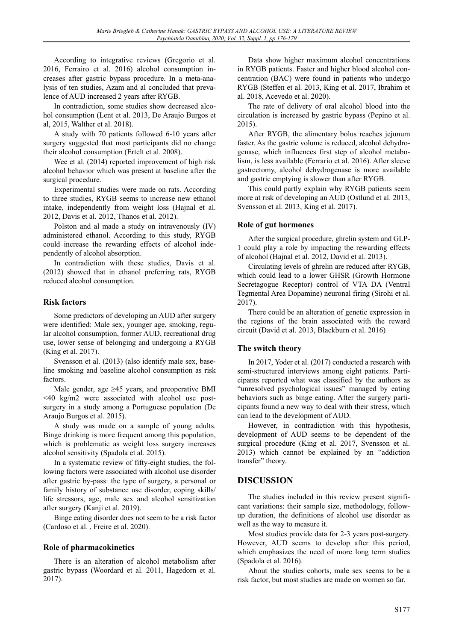According to integrative reviews (Gregorio et al. 2016, Ferrairo et al. 2016) alcohol consumption increases after gastric bypass procedure. In a meta-analysis of ten studies, Azam and al concluded that prevalence of AUD increased 2 years after RYGB.

In contradiction, some studies show decreased alcohol consumption (Lent et al. 2013, De Araujo Burgos et al, 2015, Walther et al. 2018).

A study with 70 patients followed 6-10 years after surgery suggested that most participants did no change their alcohol consumption (Ertelt et al. 2008).

Wee et al. (2014) reported improvement of high risk alcohol behavior which was present at baseline after the surgical procedure.

Experimental studies were made on rats. According to three studies, RYGB seems to increase new ethanol intake, independently from weight loss (Hajnal et al. 2012, Davis et al. 2012, Thanos et al. 2012).

Polston and al made a study on intravenously (IV) administered ethanol. According to this study, RYGB could increase the rewarding effects of alcohol independently of alcohol absorption.

In contradiction with these studies, Davis et al. (2012) showed that in ethanol preferring rats, RYGB reduced alcohol consumption.

**Risk factors**  Some predictors of developing an AUD after surgery were identified: Male sex, younger age, smoking, regular alcohol consumption, former AUD, recreational drug use, lower sense of belonging and undergoing a RYGB (King et al. 2017).

Svensson et al. (2013) (also identify male sex, baseline smoking and baseline alcohol consumption as risk factors.

Male gender, age  $\geq 45$  years, and preoperative BMI <40 kg/m2 were associated with alcohol use postsurgery in a study among a Portuguese population (De Araujo Burgos et al. 2015).

A study was made on a sample of young adults. Binge drinking is more frequent among this population, which is problematic as weight loss surgery increases alcohol sensitivity (Spadola et al. 2015).

In a systematic review of fifty-eight studies, the following factors were associated with alcohol use disorder after gastric by-pass: the type of surgery, a personal or family history of substance use disorder, coping skills/ life stressors, age, male sex and alcohol sensitization after surgery (Kanji et al. 2019).

Binge eating disorder does not seem to be a risk factor (Cardoso et al. , Freire et al. 2020).

### **Role of pharmacokinetics**

There is an alteration of alcohol metabolism after gastric bypass (Woordard et al. 2011, Hagedorn et al. 2017).

Data show higher maximum alcohol concentrations in RYGB patients. Faster and higher blood alcohol concentration (BAC) were found in patients who undergo RYGB (Steffen et al. 2013, King et al. 2017, Ibrahim et al. 2018, Acevedo et al. 2020).

The rate of delivery of oral alcohol blood into the circulation is increased by gastric bypass (Pepino et al. 2015).

After RYGB, the alimentary bolus reaches jejunum faster. As the gastric volume is reduced, alcohol dehydrogenase, which influences first step of alcohol metabolism, is less available (Ferrario et al. 2016). After sleeve gastrectomy, alcohol dehydrogenase is more available and gastric emptying is slower than after RYGB.

This could partly explain why RYGB patients seem more at risk of developing an AUD (Ostlund et al. 2013, Svensson et al. 2013, King et al. 2017).

**Role of gut hormones**  After the surgical procedure, ghrelin system and GLP-1 could play a role by impacting the rewarding effects of alcohol (Hajnal et al. 2012, David et al. 2013).

Circulating levels of ghrelin are reduced after RYGB, which could lead to a lower GHSR (Growth Hormone Secretagogue Receptor) control of VTA DA (Ventral Tegmental Area Dopamine) neuronal firing (Sirohi et al. 2017).

There could be an alteration of genetic expression in the regions of the brain associated with the reward circuit (David et al. 2013, Blackburn et al. 2016)

## **The switch theory**

In 2017, Yoder et al. (2017) conducted a research with semi-structured interviews among eight patients. Participants reported what was classified by the authors as "unresolved psychological issues" managed by eating behaviors such as binge eating. After the surgery participants found a new way to deal with their stress, which can lead to the development of AUD.

However, in contradiction with this hypothesis, development of AUD seems to be dependent of the surgical procedure (King et al. 2017, Svensson et al. 2013) which cannot be explained by an "addiction transfer" theory.

### **DISCUSSION D DISCUSSION**

The studies included in this review present significant variations: their sample size, methodology, followup duration, the definitions of alcohol use disorder as well as the way to measure it.

Most studies provide data for 2-3 years post-surgery. However, AUD seems to develop after this period, which emphasizes the need of more long term studies (Spadola et al. 2016).

About the studies cohorts, male sex seems to be a risk factor, but most studies are made on women so far.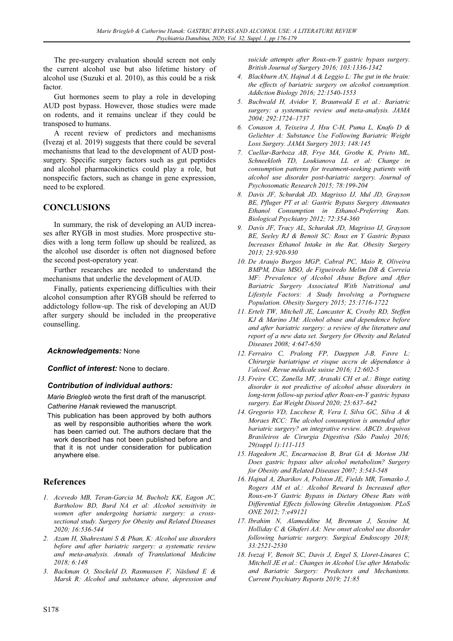The pre-surgery evaluation should screen not only the current alcohol use but also lifetime history of alcohol use (Suzuki et al. 2010), as this could be a risk factor.

Gut hormones seem to play a role in developing AUD post bypass. However, those studies were made on rodents, and it remains unclear if they could be transposed to humans.

A recent review of predictors and mechanisms (Ivezaj et al. 2019) suggests that there could be several mechanisms that lead to the development of AUD postsurgery. Specific surgery factors such as gut peptides and alcohol pharmacokinetics could play a role, but nonspecific factors, such as change in gene expression, need to be explored.

### **CONCLUSIONS CONCLUSIONS**

In summary, the risk of developing an AUD increases after RYGB in most studies. More prospective studies with a long term follow up should be realized, as the alcohol use disorder is often not diagnosed before the second post-operatory year.

Further researches are needed to understand the mechanisms that underlie the development of AUD.

Finally, patients experiencing difficulties with their alcohol consumption after RYGB should be referred to addictology follow-up. The risk of developing an AUD after surgery should be included in the preoperative counselling.

### *Acknowledgements:* None

*Conflict of interest:* None to declare.

### *Contribution of individual authors:*

*Marie Briegleb* wrote the first draft of the manuscript. *Catherine Hanak* reviewed the manuscript.

This publication has been approved by both authors as well by responsible authorities where the work has been carried out. The authors declare that the work described has not been published before and that it is not under consideration for publication anywhere else.

## **References**

- *1. Acevedo MB, Teran-Garcia M, Bucholz KK, Eagon JC, Bartholow BD, Burd NA et al: Alcohol sensitivity in women after undergoing bariatric surgery: a crosssectional study. Surgery for Obesity and Related Diseases 2020; 16:536-544*
- *2. Azam H, Shahrestani S & Phan, K: Alcohol use disorders before and after bariatric surgery: a systematic review and meta-analysis. Annals of Translational Medicine 2018; 6:148*
- *3. Backman O, Stockeld D, Rasmussen F, Näslund E & Marsk R: Alcohol and substance abuse, depression and*

*suicide attempts after Roux-en-Y gastric bypass surgery. British Journal of Surgery 2016; 103:1336-1342* 

- *4. Blackburn AN, Hajnal A & Leggio L: The gut in the brain: the effects of bariatric surgery on alcohol consumption. Addiction Biology 2016; 22:1540-1553*
- *5. Buchwald H, Avidor Y, Braunwald E et al.: Bariatric surgery: a systematic review and meta-analysis. JAMA 2004; 292:1724–1737*
- *6. Conason A, Teixeira J, Hsu C-H, Puma L, Knafo D & Geliebter A: Substance Use Following Bariatric Weight Loss Surgery. JAMA Surgery 2013; 148:145*
- *7. Cuellar-Barboza AB, Frye MA, Grothe K, Prieto ML, Schneekloth TD, Loukianova LL et al: Change in consumption patterns for treatment-seeking patients with alcohol use disorder post-bariatric surgery. Journal of Psychosomatic Research 2015; 78:199-204*
- *8. Davis JF, Schurdak JD, Magrisso IJ, Mul JD, Grayson BE, Pfluger PT et al: Gastric Bypass Surgery Attenuates Ethanol Consumption in Ethanol-Preferring Rats. Biological Psychiatry 2012; 72:354-360*
- *9. Davis JF, Tracy AL, Schurdak JD, Magrisso IJ, Grayson BE, Seeley RJ & Benoit SC: Roux en Y Gastric Bypass Increases Ethanol Intake in the Rat. Obesity Surgery 2013; 23:920-930*
- *10. De Araujo Burgos MGP, Cabral PC, Maio R, Oliveira BMPM, Dias MSO, de Figueiredo Melim DB & Correia MF: Prevalence of Alcohol Abuse Before and After Bariatric Surgery Associated With Nutritional and Lifestyle Factors: A Study Involving a Portuguese Population. Obesity Surgery 2015; 25:1716-1722*
- *11. Ertelt TW, Mitchell JE, Lancaster K, Crosby RD, Steffen KJ & Marino JM: Alcohol abuse and dependence before and after bariatric surgery: a review of the literature and report of a new data set. Surgery for Obesity and Related Diseases 2008; 4:647-650*
- *12. Ferrairo C, Pralong FP, Daeppen J-B, Favre L: Chirurgie bariatrique et risque accru de dépendance à l'alcool. Revue médicale suisse 2016; 12:602-5*
- *13. Freire CC, Zanella MT, Arasaki CH et al.: Binge eating disorder is not predictive of alcohol abuse disorders in long-term follow-up period after Roux-en-Y gastric bypass surgery. Eat Weight Disord 2020; 25:637–642*
- *14. Gregorio VD, Lucchese R, Vera I, Silva GC, Silva A & Moraes RCC: The alcohol consumption is amended after bariatric surgery? an integrative review. ABCD. Arquivos Brasileiros de Cirurgia Digestiva (São Paulo) 2016; 29(suppl 1):111-115*
- *15. Hagedorn JC, Encarnacion B, Brat GA & Morton JM: Does gastric bypass alter alcohol metabolism? Surgery for Obesity and Related Diseases 2007; 3:543-548*
- *16. Hajnal A, Zharikov A, Polston JE, Fields MR, Tomasko J, Rogers AM et al.: Alcohol Reward Is Increased after Roux-en-Y Gastric Bypass in Dietary Obese Rats with Differential Effects following Ghrelin Antagonism. PLoS ONE 2012; 7:e49121*
- *17. Ibrahim N, Alameddine M, Brennan J, Sessine M, Holliday C & Ghaferi AA: New onset alcohol use disorder following bariatric surgery. Surgical Endoscopy 2018; 33:2521-2530*
- *18. Ivezaj V, Benoit SC, Davis J, Engel S, Lloret-Linares C, Mitchell JE et al.: Changes in Alcohol Use after Metabolic and Bariatric Surgery: Predictors and Mechanisms. Current Psychiatry Reports 2019; 21:85*